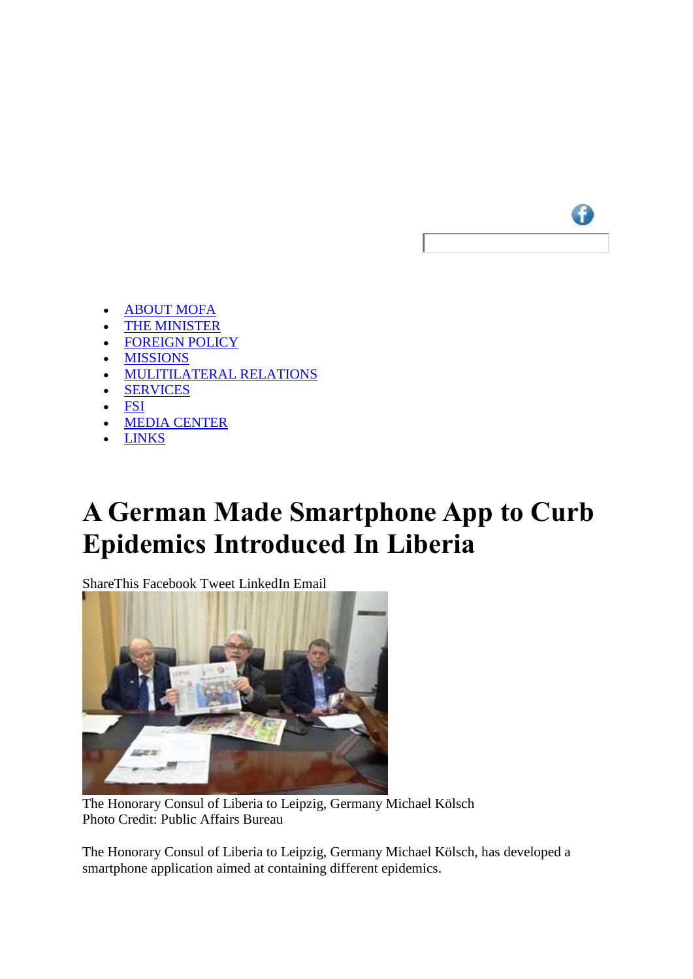

- [ABOUT MOFA](http://www.mofa.gov.lr/public2/2content_list_sub.php?main=1&related=1&pg=mp)
- [THE MINISTER](http://www.mofa.gov.lr/public2/2content_list_sub.php?main=8&related=8&pg=mp)
- [FOREIGN POLICY](http://www.mofa.gov.lr/public2/2content.php?main=2&related=2&pg=mp)
- [MISSIONS](http://www.mofa.gov.lr/public2/2content_list_sub.php?main=3&related=3&pg=mp)
- [MULITILATERAL RELATIONS](http://www.mofa.gov.lr/public2/2content.php?main=4&related=4&pg=mp)
- [SERVICES](http://www.mofa.gov.lr/public2/2content_list_sub.php?main=24&related=24&pg=mp)
- [FSI](http://www.mofa.gov.lr/public2/2content_list_sub.php?main=5&related=5&pg=mp)
- [MEDIA CENTER](http://www.mofa.gov.lr/public2/2content_list_sub.php?main=7&related=7&pg=mp)
- [LINKS](http://www.mofa.gov.lr/public2/2content_list_sub.php?main=9&related=9&pg=mp)

## **A German Made Smartphone App to Curb Epidemics Introduced In Liberia**

ShareThis Facebook Tweet LinkedIn Email



The Honorary Consul of Liberia to Leipzig, Germany Michael Kölsch Photo Credit: Public Affairs Bureau

The Honorary Consul of Liberia to Leipzig, Germany Michael Kölsch, has developed a smartphone application aimed at containing different epidemics.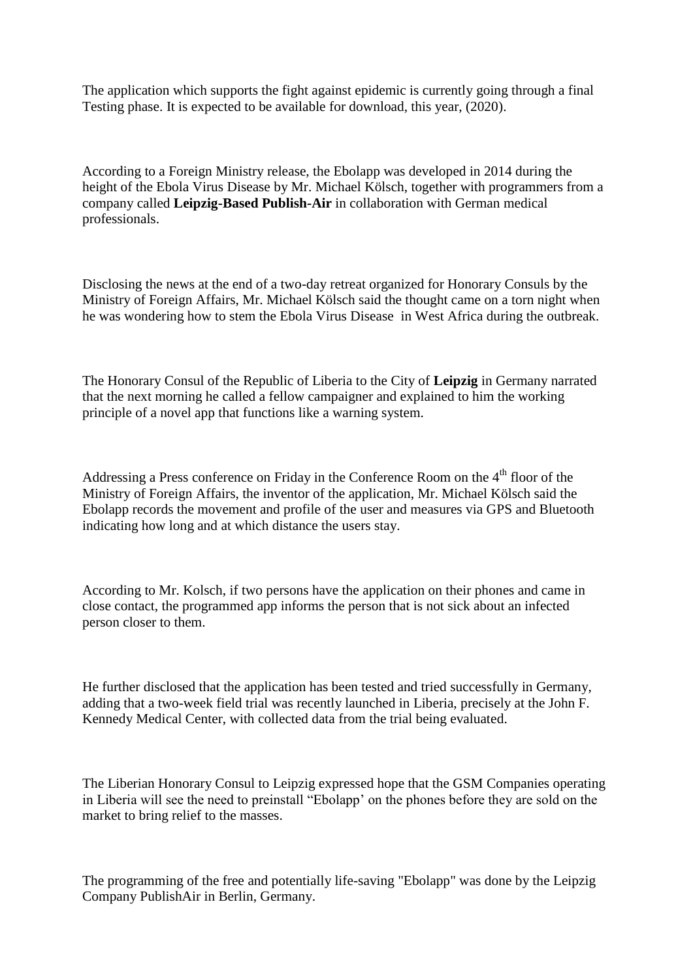The application which supports the fight against epidemic is currently going through a final Testing phase. It is expected to be available for download, this year, (2020).

According to a Foreign Ministry release, the Ebolapp was developed in 2014 during the height of the Ebola Virus Disease by Mr. Michael Kölsch, together with programmers from a company called **Leipzig-Based Publish-Air** in collaboration with German medical professionals.

Disclosing the news at the end of a two-day retreat organized for Honorary Consuls by the Ministry of Foreign Affairs, Mr. Michael Kölsch said the thought came on a torn night when he was wondering how to stem the Ebola Virus Disease in West Africa during the outbreak.

The Honorary Consul of the Republic of Liberia to the City of **Leipzig** in Germany narrated that the next morning he called a fellow campaigner and explained to him the working principle of a novel app that functions like a warning system.

Addressing a Press conference on Friday in the Conference Room on the  $4<sup>th</sup>$  floor of the Ministry of Foreign Affairs, the inventor of the application, Mr. Michael Kölsch said the Ebolapp records the movement and profile of the user and measures via GPS and Bluetooth indicating how long and at which distance the users stay.

According to Mr. Kolsch, if two persons have the application on their phones and came in close contact, the programmed app informs the person that is not sick about an infected person closer to them.

He further disclosed that the application has been tested and tried successfully in Germany, adding that a two-week field trial was recently launched in Liberia, precisely at the John F. Kennedy Medical Center, with collected data from the trial being evaluated.

The Liberian Honorary Consul to Leipzig expressed hope that the GSM Companies operating in Liberia will see the need to preinstall "Ebolapp' on the phones before they are sold on the market to bring relief to the masses.

The programming of the free and potentially life-saving "Ebolapp" was done by the Leipzig Company PublishAir in Berlin, Germany.